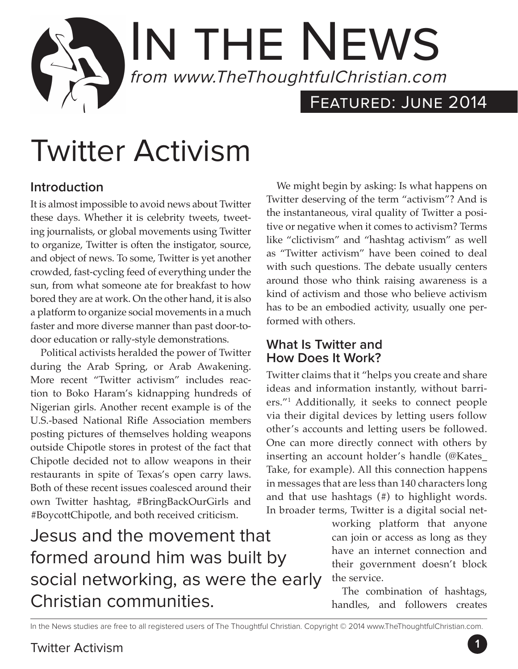## IN THE NEWS from www.TheThoughtfulChristian.com Featured: June 2014

# Twitter Activism

#### **Introduction**

It is almost impossible to avoid news about Twitter these days. Whether it is celebrity tweets, tweeting journalists, or global movements using Twitter to organize, Twitter is often the instigator, source, and object of news. To some, Twitter is yet another crowded, fast-cycling feed of everything under the sun, from what someone ate for breakfast to how bored they are at work. On the other hand, it is also a platform to organize social movements in a much faster and more diverse manner than past door-todoor education or rally-style demonstrations.

Political activists heralded the power of Twitter during the Arab Spring, or Arab Awakening. More recent "Twitter activism" includes reaction to Boko Haram's kidnapping hundreds of Nigerian girls. Another recent example is of the U.S.-based National Rifle Association members posting pictures of themselves holding weapons outside Chipotle stores in protest of the fact that Chipotle decided not to allow weapons in their restaurants in spite of Texas's open carry laws. Both of these recent issues coalesced around their own Twitter hashtag, #BringBackOurGirls and #BoycottChipotle, and both received criticism.

Jesus and the movement that formed around him was built by social networking, as were the early Christian communities.

We might begin by asking: Is what happens on Twitter deserving of the term "activism"? And is the instantaneous, viral quality of Twitter a positive or negative when it comes to activism? Terms like "clictivism" and "hashtag activism" as well as "Twitter activism" have been coined to deal with such questions. The debate usually centers around those who think raising awareness is a kind of activism and those who believe activism has to be an embodied activity, usually one performed with others.

#### **What Is Twitter and How Does It Work?**

Twitter claims that it "helps you create and share ideas and information instantly, without barriers."1 Additionally, it seeks to connect people via their digital devices by letting users follow other's accounts and letting users be followed. One can more directly connect with others by inserting an account holder's handle (@Kates\_ Take, for example). All this connection happens in messages that are less than 140 characters long and that use hashtags (#) to highlight words. In broader terms, Twitter is a digital social net-

> working platform that anyone can join or access as long as they have an internet connection and their government doesn't block the service.

> The combination of hashtags, handles, and followers creates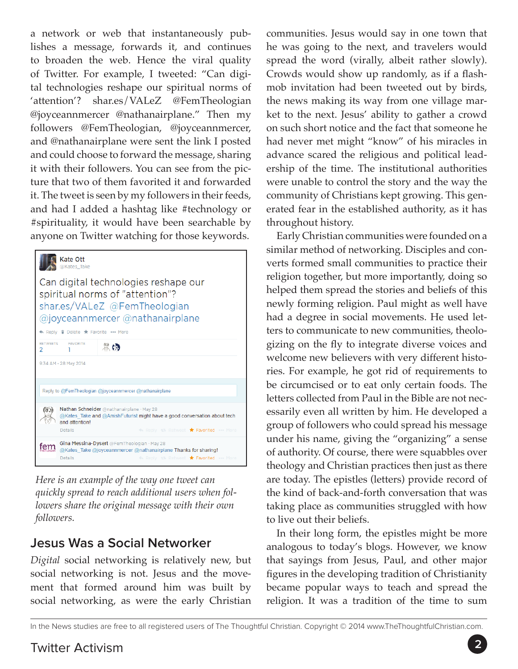a network or web that instantaneously publishes a message, forwards it, and continues to broaden the web. Hence the viral quality of Twitter. For example, I tweeted: "Can digital technologies reshape our spiritual norms of 'attention'? shar.es/VALeZ @FemTheologian @joyceannmercer @nathanairplane." Then my followers @FemTheologian, @joyceannmercer, and @nathanairplane were sent the link I posted and could choose to forward the message, sharing it with their followers. You can see from the picture that two of them favorited it and forwarded it. The tweet is seen by my followers in their feeds, and had I added a hashtag like #technology or #spirituality, it would have been searchable by anyone on Twitter watching for those keywords.

| <b>Kate Ott</b><br>@Kates Take                                                                                                                                                                            |
|-----------------------------------------------------------------------------------------------------------------------------------------------------------------------------------------------------------|
| Can digital technologies reshape our<br>spiritual norms of "attention"?<br>shar.es/VALeZ @FemTheologian<br>@joyceannmercer @nathanairplane                                                                |
| ← Reply <i>i</i> Delete ★ Favorite ••• More                                                                                                                                                               |
| <b>RETWEETS</b><br><b>FAVORITE</b><br>黑的<br>2                                                                                                                                                             |
| 9:34 AM - 28 May 2014                                                                                                                                                                                     |
| Reply to @FemTheologian @joyceannmercer @nathanairplane                                                                                                                                                   |
| Nathan Schneider @nathanairplane · May 28<br>@Kates Take and @AmishFuturist might have a good conversation about tech<br>and attention!<br><b>In Reply 13 Retweet * Favorited </b> More<br><b>Details</b> |
| Gina Messina-Dysert @FemTheologian · May 28<br>fem<br>@Kates Take @joyceannmercer @nathanairplane Thanks for sharing!<br><b>Details</b><br>th Reply 13 Retweet * Favorited  More                          |

*Here is an example of the way one tweet can quickly spread to reach additional users when followers share the original message with their own followers.*

#### **Jesus Was a Social Networker**

*Digital* social networking is relatively new, but social networking is not. Jesus and the movement that formed around him was built by social networking, as were the early Christian

communities. Jesus would say in one town that he was going to the next, and travelers would spread the word (virally, albeit rather slowly). Crowds would show up randomly, as if a flashmob invitation had been tweeted out by birds, the news making its way from one village market to the next. Jesus' ability to gather a crowd on such short notice and the fact that someone he had never met might "know" of his miracles in advance scared the religious and political leadership of the time. The institutional authorities were unable to control the story and the way the community of Christians kept growing. This generated fear in the established authority, as it has throughout history.

Early Christian communities were founded on a similar method of networking. Disciples and converts formed small communities to practice their religion together, but more importantly, doing so helped them spread the stories and beliefs of this newly forming religion. Paul might as well have had a degree in social movements. He used letters to communicate to new communities, theologizing on the fly to integrate diverse voices and welcome new believers with very different histories. For example, he got rid of requirements to be circumcised or to eat only certain foods. The letters collected from Paul in the Bible are not necessarily even all written by him. He developed a group of followers who could spread his message under his name, giving the "organizing" a sense of authority. Of course, there were squabbles over theology and Christian practices then just as there are today. The epistles (letters) provide record of the kind of back-and-forth conversation that was taking place as communities struggled with how to live out their beliefs.

In their long form, the epistles might be more analogous to today's blogs. However, we know that sayings from Jesus, Paul, and other major figures in the developing tradition of Christianity became popular ways to teach and spread the religion. It was a tradition of the time to sum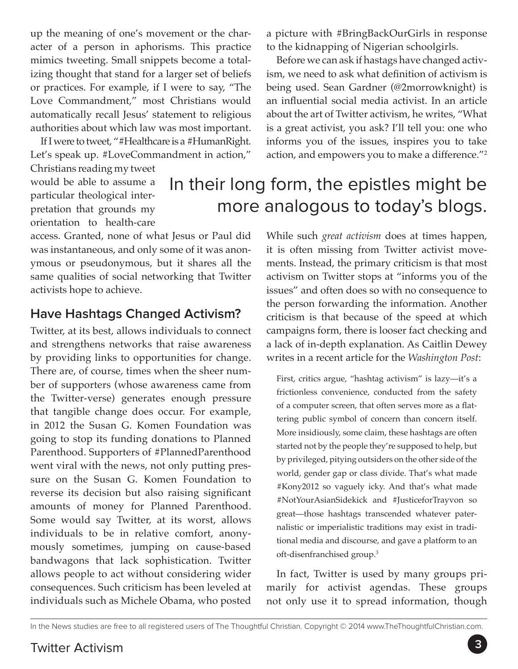up the meaning of one's movement or the character of a person in aphorisms. This practice mimics tweeting. Small snippets become a totalizing thought that stand for a larger set of beliefs or practices. For example, if I were to say, "The Love Commandment," most Christians would automatically recall Jesus' statement to religious authorities about which law was most important.

If I were to tweet, "#Healthcare is a #HumanRight. Let's speak up. #LoveCommandment in action,"

Christians reading my tweet would be able to assume a particular theological interpretation that grounds my orientation to health-care

access. Granted, none of what Jesus or Paul did was instantaneous, and only some of it was anonymous or pseudonymous, but it shares all the same qualities of social networking that Twitter activists hope to achieve.

#### **Have Hashtags Changed Activism?**

Twitter, at its best, allows individuals to connect and strengthens networks that raise awareness by providing links to opportunities for change. There are, of course, times when the sheer number of supporters (whose awareness came from the Twitter-verse) generates enough pressure that tangible change does occur. For example, in 2012 the Susan G. Komen Foundation was going to stop its funding donations to Planned Parenthood. Supporters of #PlannedParenthood went viral with the news, not only putting pressure on the Susan G. Komen Foundation to reverse its decision but also raising significant amounts of money for Planned Parenthood. Some would say Twitter, at its worst, allows individuals to be in relative comfort, anonymously sometimes, jumping on cause-based bandwagons that lack sophistication. Twitter allows people to act without considering wider consequences. Such criticism has been leveled at individuals such as Michele Obama, who posted

a picture with #BringBackOurGirls in response to the kidnapping of Nigerian schoolgirls.

Before we can ask if hastags have changed activism, we need to ask what definition of activism is being used. Sean Gardner (@2morrowknight) is an influential social media activist. In an article about the art of Twitter activism, he writes, "What is a great activist, you ask? I'll tell you: one who informs you of the issues, inspires you to take action, and empowers you to make a difference."2

### In their long form, the epistles might be more analogous to today's blogs.

While such *great activism* does at times happen, it is often missing from Twitter activist movements. Instead, the primary criticism is that most activism on Twitter stops at "informs you of the issues" and often does so with no consequence to the person forwarding the information. Another criticism is that because of the speed at which campaigns form, there is looser fact checking and a lack of in-depth explanation. As Caitlin Dewey writes in a recent article for the *Washington Post*:

First, critics argue, "hashtag activism" is lazy—it's a frictionless convenience, conducted from the safety of a computer screen, that often serves more as a flattering public symbol of concern than concern itself. More insidiously, some claim, these hashtags are often started not by the people they're supposed to help, but by privileged, pitying outsiders on the other side of the world, gender gap or class divide. That's what made #Kony2012 so vaguely icky. And that's what made #NotYourAsianSidekick and #JusticeforTrayvon so great—those hashtags transcended whatever paternalistic or imperialistic traditions may exist in traditional media and discourse, and gave a platform to an oft-disenfranchised group.3

In fact, Twitter is used by many groups primarily for activist agendas. These groups not only use it to spread information, though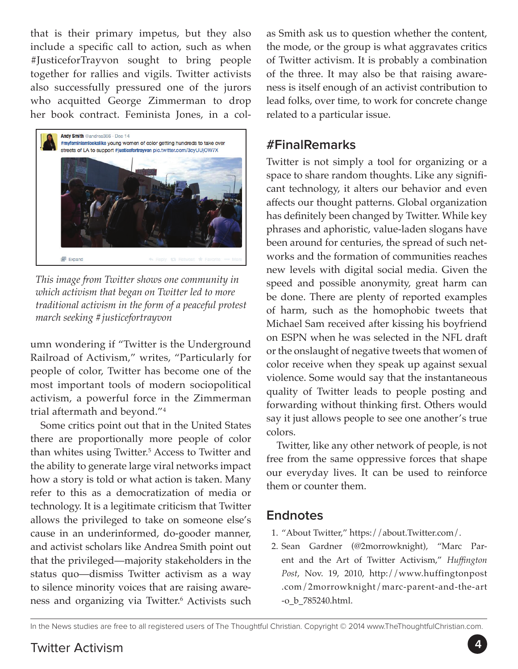that is their primary impetus, but they also include a specific call to action, such as when #JusticeforTrayvon sought to bring people together for rallies and vigils. Twitter activists also successfully pressured one of the jurors who acquitted George Zimmerman to drop her book contract. Feminista Jones, in a col-



*This image from Twitter shows one community in which activism that began on Twitter led to more traditional activism in the form of a peaceful protest march seeking #justicefortrayvon* 

umn wondering if "Twitter is the Underground Railroad of Activism," writes, "Particularly for people of color, Twitter has become one of the most important tools of modern sociopolitical activism, a powerful force in the Zimmerman trial aftermath and beyond."4

Some critics point out that in the United States there are proportionally more people of color than whites using Twitter.<sup>5</sup> Access to Twitter and the ability to generate large viral networks impact how a story is told or what action is taken. Many refer to this as a democratization of media or technology. It is a legitimate criticism that Twitter allows the privileged to take on someone else's cause in an underinformed, do-gooder manner, and activist scholars like Andrea Smith point out that the privileged—majority stakeholders in the status quo—dismiss Twitter activism as a way to silence minority voices that are raising awareness and organizing via Twitter.6 Activists such as Smith ask us to question whether the content, the mode, or the group is what aggravates critics of Twitter activism. It is probably a combination of the three. It may also be that raising awareness is itself enough of an activist contribution to lead folks, over time, to work for concrete change related to a particular issue.

#### **#FinalRemarks**

Twitter is not simply a tool for organizing or a space to share random thoughts. Like any significant technology, it alters our behavior and even affects our thought patterns. Global organization has definitely been changed by Twitter. While key phrases and aphoristic, value-laden slogans have been around for centuries, the spread of such networks and the formation of communities reaches new levels with digital social media. Given the speed and possible anonymity, great harm can be done. There are plenty of reported examples of harm, such as the homophobic tweets that Michael Sam received after kissing his boyfriend on ESPN when he was selected in the NFL draft or the onslaught of negative tweets that women of color receive when they speak up against sexual violence. Some would say that the instantaneous quality of Twitter leads to people posting and forwarding without thinking first. Others would say it just allows people to see one another's true colors.

Twitter, like any other network of people, is not free from the same oppressive forces that shape our everyday lives. It can be used to reinforce them or counter them.

#### **Endnotes**

- 1. "About Twitter," [https://about.Twitter.com/.](https://about.twitter.com/)
- 2. Sean Gardner (@2morrowknight), "Marc Parent and the Art of Twitter Activism," *Huffington Post*, Nov. 19, 2010, http://www.huffingtonpost .com/2morrowknight/marc-parent-and-the-art -o\_b\_785240.html.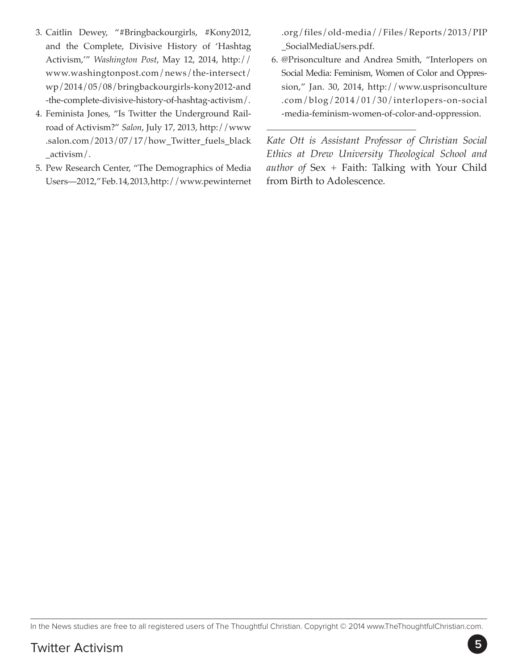- 3. Caitlin Dewey, "#Bringbackourgirls, #Kony2012, and the Complete, Divisive History of 'Hashtag Activism,'" *Washington Post*, May 12, 2014, http:// www.washingtonpost.com/news/the-intersect/ wp/2014/05/08/bringbackourgirls-kony2012-and -the-complete-divisive-history-of-hashtag-activism/.
- 4. Feminista Jones, "Is Twitter the Underground Railroad of Activism?" *Salon*, July 17, 2013, [http://www](http://www.salon.com/2013/07/17/how_twitter_fuels_black_activism/) [.salon.com/2013/07/17/how\\_Twitter\\_fuels\\_black](http://www.salon.com/2013/07/17/how_twitter_fuels_black_activism/) [\\_activism/.](http://www.salon.com/2013/07/17/how_twitter_fuels_black_activism/)
- 5. Pew Research Center, "The Demographics of Media Users—2012," Feb. 14, 2013, [http://www.pewinternet](http://www.pewinternet.org/files/old-media//Files/Reports/2013/PIP_SocialMediaUsers.pdf)

[.org/files/old-media//Files/Reports/2013/PIP](http://www.pewinternet.org/files/old-media//Files/Reports/2013/PIP_SocialMediaUsers.pdf) [\\_SocialMediaUsers.pdf](http://www.pewinternet.org/files/old-media//Files/Reports/2013/PIP_SocialMediaUsers.pdf).

6. @Prisonculture and Andrea Smith, "Interlopers on Social Media: Feminism, Women of Color and Oppression," Jan. 30, 2014, [http://www.usprisonculture](http://www.usprisonculture.com/blog/2014/01/30/interlopers-on-social-media-feminism-women-of-color-and-oppression/) [.com/blog/2014/01/30/interlopers-on-social](http://www.usprisonculture.com/blog/2014/01/30/interlopers-on-social-media-feminism-women-of-color-and-oppression/) [-media-feminism-women-of-color-and-oppression](http://www.usprisonculture.com/blog/2014/01/30/interlopers-on-social-media-feminism-women-of-color-and-oppression/).

*Kate Ott is Assistant Professor of Christian Social Ethics at Drew University Theological School and author of* Sex + Faith: Talking with Your Child from Birth to Adolescence*.*

In the News studies are free to all registered users of The Thoughtful Christian. Copyright © 2014 www.TheThoughtfulChristian.com.